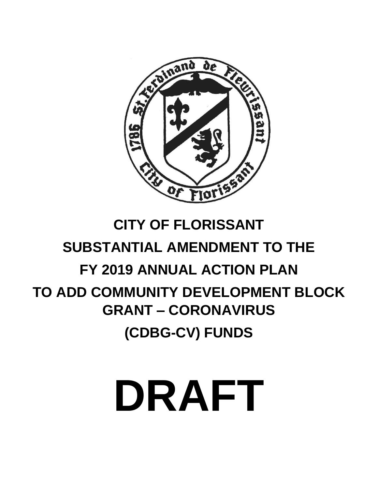

# **CITY OF FLORISSANT SUBSTANTIAL AMENDMENT TO THE FY 2019 ANNUAL ACTION PLAN TO ADD COMMUNITY DEVELOPMENT BLOCK GRANT – CORONAVIRUS**

**(CDBG-CV) FUNDS**

# **DRAFT**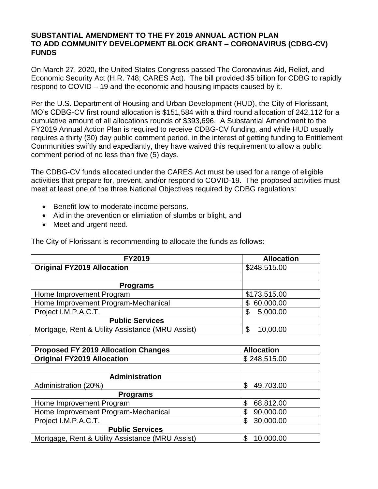#### **SUBSTANTIAL AMENDMENT TO THE FY 2019 ANNUAL ACTION PLAN TO ADD COMMUNITY DEVELOPMENT BLOCK GRANT – CORONAVIRUS (CDBG-CV) FUNDS**

On March 27, 2020, the United States Congress passed The Coronavirus Aid, Relief, and Economic Security Act (H.R. 748; CARES Act). The bill provided \$5 billion for CDBG to rapidly respond to COVID – 19 and the economic and housing impacts caused by it.

Per the U.S. Department of Housing and Urban Development (HUD), the City of Florissant, MO's CDBG-CV first round allocation is \$151,584 with a third round allocation of 242,112 for a cumulative amount of all allocations rounds of \$393,696. A Substantial Amendment to the FY2019 Annual Action Plan is required to receive CDBG-CV funding, and while HUD usually requires a thirty (30) day public comment period, in the interest of getting funding to Entitlement Communities swiftly and expediantly, they have waived this requirement to allow a public comment period of no less than five (5) days.

The CDBG-CV funds allocated under the CARES Act must be used for a range of eligible activities that prepare for, prevent, and/or respond to COVID-19. The proposed activities must meet at least one of the three National Objectives required by CDBG regulations:

- Benefit low-to-moderate income persons.
- Aid in the prevention or elimiation of slumbs or blight, and
- Meet and urgent need.

| <b>FY2019</b>                                    | <b>Allocation</b> |
|--------------------------------------------------|-------------------|
| <b>Original FY2019 Allocation</b>                | \$248,515.00      |
|                                                  |                   |
| <b>Programs</b>                                  |                   |
| Home Improvement Program                         | \$173,515.00      |
| Home Improvement Program-Mechanical              | 60,000.00<br>\$   |
| Project I.M.P.A.C.T.                             | 5,000.00<br>\$    |
| <b>Public Services</b>                           |                   |
| Mortgage, Rent & Utility Assistance (MRU Assist) | 10,00.00<br>\$    |

The City of Florissant is recommending to allocate the funds as follows:

| <b>Proposed FY 2019 Allocation Changes</b>       | <b>Allocation</b> |
|--------------------------------------------------|-------------------|
| <b>Original FY2019 Allocation</b>                | \$248,515.00      |
|                                                  |                   |
| <b>Administration</b>                            |                   |
| Administration (20%)                             | 49,703.00<br>\$   |
| <b>Programs</b>                                  |                   |
| Home Improvement Program                         | 68,812.00<br>\$   |
| Home Improvement Program-Mechanical              | 90,000.00<br>\$   |
| Project I.M.P.A.C.T.                             | 30,000.00<br>\$   |
| <b>Public Services</b>                           |                   |
| Mortgage, Rent & Utility Assistance (MRU Assist) | 10,000.00         |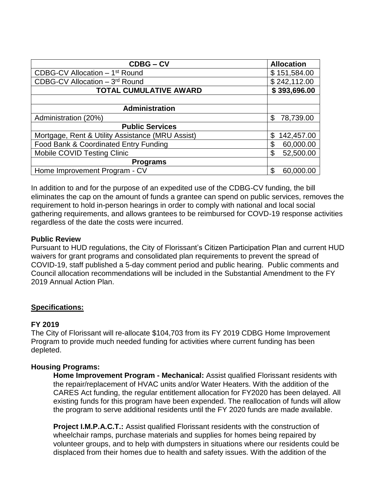| <b>CDBG-CV</b>                                   | <b>Allocation</b> |
|--------------------------------------------------|-------------------|
| CDBG-CV Allocation - 1 <sup>st</sup> Round       | \$151,584.00      |
| CDBG-CV Allocation - 3rd Round                   | \$242,112.00      |
| <b>TOTAL CUMULATIVE AWARD</b>                    | \$393,696.00      |
|                                                  |                   |
| <b>Administration</b>                            |                   |
| Administration (20%)                             | \$<br>78,739.00   |
| <b>Public Services</b>                           |                   |
| Mortgage, Rent & Utility Assistance (MRU Assist) | \$<br>142,457.00  |
| Food Bank & Coordinated Entry Funding            | \$<br>60,000.00   |
| <b>Mobile COVID Testing Clinic</b>               | \$<br>52,500.00   |
| <b>Programs</b>                                  |                   |
| Home Improvement Program - CV                    | \$<br>60,000.00   |

In addition to and for the purpose of an expedited use of the CDBG-CV funding, the bill eliminates the cap on the amount of funds a grantee can spend on public services, removes the requirement to hold in-person hearings in order to comply with national and local social gathering requirements, and allows grantees to be reimbursed for COVD-19 response activities regardless of the date the costs were incurred.

# **Public Review**

Pursuant to HUD regulations, the City of Florissant's Citizen Participation Plan and current HUD waivers for grant programs and consolidated plan requirements to prevent the spread of COVID-19, staff published a 5-day comment period and public hearing. Public comments and Council allocation recommendations will be included in the Substantial Amendment to the FY 2019 Annual Action Plan.

# **Specifications:**

# **FY 2019**

The City of Florissant will re-allocate \$104,703 from its FY 2019 CDBG Home Improvement Program to provide much needed funding for activities where current funding has been depleted.

# **Housing Programs:**

**Home Improvement Program - Mechanical:** Assist qualified Florissant residents with the repair/replacement of HVAC units and/or Water Heaters. With the addition of the CARES Act funding, the regular entitlement allocation for FY2020 has been delayed. All existing funds for this program have been expended. The reallocation of funds will allow the program to serve additional residents until the FY 2020 funds are made available.

**Project I.M.P.A.C.T.:** Assist qualified Florissant residents with the construction of wheelchair ramps, purchase materials and supplies for homes being repaired by volunteer groups, and to help with dumpsters in situations where our residents could be displaced from their homes due to health and safety issues. With the addition of the